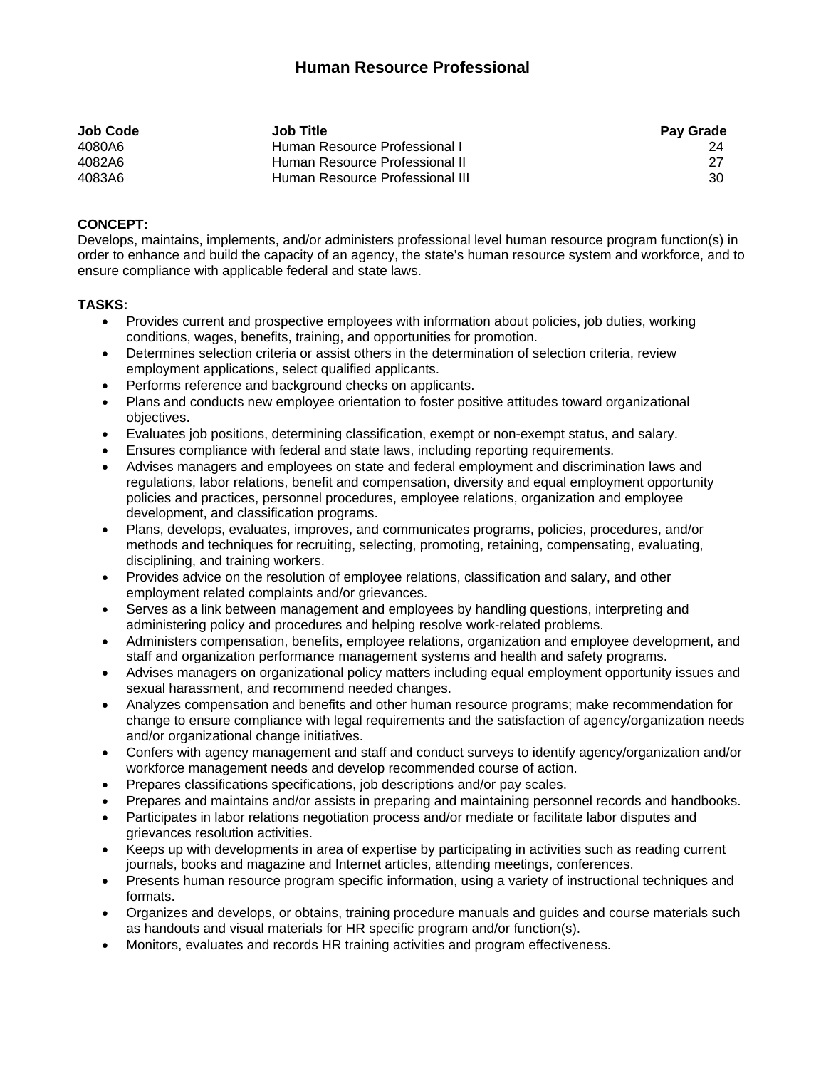## **Human Resource Professional**

| <b>Job Code</b> | <b>Job Title</b>                | <b>Pay Grade</b> |
|-----------------|---------------------------------|------------------|
| 4080A6          | Human Resource Professional I   |                  |
| 4082A6          | Human Resource Professional II  |                  |
| 4083A6          | Human Resource Professional III | 30               |

## **CONCEPT:**

Develops, maintains, implements, and/or administers professional level human resource program function(s) in order to enhance and build the capacity of an agency, the state's human resource system and workforce, and to ensure compliance with applicable federal and state laws.

## **TASKS:**

- Provides current and prospective employees with information about policies, job duties, working conditions, wages, benefits, training, and opportunities for promotion.
- Determines selection criteria or assist others in the determination of selection criteria, review employment applications, select qualified applicants.
- Performs reference and background checks on applicants.
- Plans and conducts new employee orientation to foster positive attitudes toward organizational objectives.
- Evaluates job positions, determining classification, exempt or non-exempt status, and salary.
- Ensures compliance with federal and state laws, including reporting requirements.
- Advises managers and employees on state and federal employment and discrimination laws and regulations, labor relations, benefit and compensation, diversity and equal employment opportunity policies and practices, personnel procedures, employee relations, organization and employee development, and classification programs.
- Plans, develops, evaluates, improves, and communicates programs, policies, procedures, and/or methods and techniques for recruiting, selecting, promoting, retaining, compensating, evaluating, disciplining, and training workers.
- Provides advice on the resolution of employee relations, classification and salary, and other employment related complaints and/or grievances.
- Serves as a link between management and employees by handling questions, interpreting and administering policy and procedures and helping resolve work-related problems.
- Administers compensation, benefits, employee relations, organization and employee development, and staff and organization performance management systems and health and safety programs.
- Advises managers on organizational policy matters including equal employment opportunity issues and sexual harassment, and recommend needed changes.
- Analyzes compensation and benefits and other human resource programs; make recommendation for change to ensure compliance with legal requirements and the satisfaction of agency/organization needs and/or organizational change initiatives.
- Confers with agency management and staff and conduct surveys to identify agency/organization and/or workforce management needs and develop recommended course of action.
- Prepares classifications specifications, job descriptions and/or pay scales.
- Prepares and maintains and/or assists in preparing and maintaining personnel records and handbooks.
- Participates in labor relations negotiation process and/or mediate or facilitate labor disputes and grievances resolution activities.
- Keeps up with developments in area of expertise by participating in activities such as reading current journals, books and magazine and Internet articles, attending meetings, conferences.
- Presents human resource program specific information, using a variety of instructional techniques and formats.
- Organizes and develops, or obtains, training procedure manuals and guides and course materials such as handouts and visual materials for HR specific program and/or function(s).
- Monitors, evaluates and records HR training activities and program effectiveness.